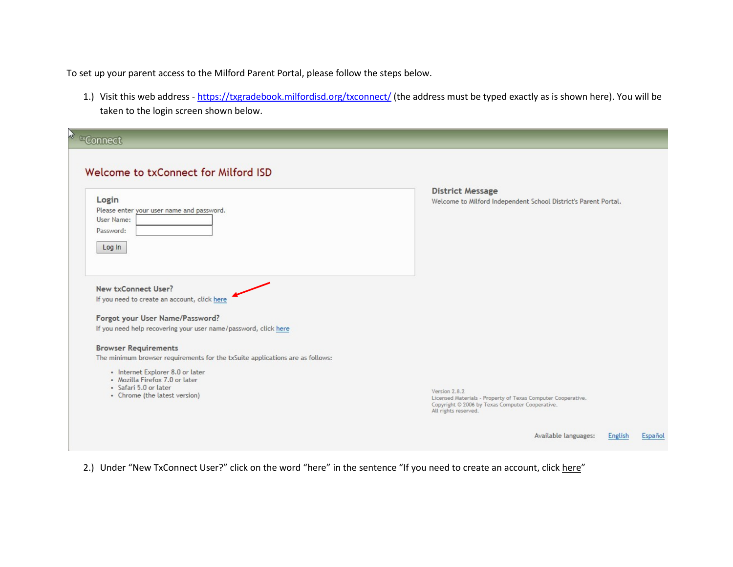To set up your parent access to the Milford Parent Portal, please follow the steps below.

1.) Visit this web address - <u>https://txgradebook.milfordisd.org/txconnect/</u> (the address must be typed exactly as is shown here). You will be taken to the login screen shown below.

| <sup>o</sup> ¤Connect                                                                                                                                                                                                                                                                                                         |                                                                                                                                                                                                        |
|-------------------------------------------------------------------------------------------------------------------------------------------------------------------------------------------------------------------------------------------------------------------------------------------------------------------------------|--------------------------------------------------------------------------------------------------------------------------------------------------------------------------------------------------------|
| Welcome to txConnect for Milford ISD<br>Login<br>Please enter your user name and password.<br>User Name:<br>Password:<br>Log In                                                                                                                                                                                               | <b>District Message</b><br>Welcome to Milford Independent School District's Parent Portal.                                                                                                             |
| New txConnect User?<br>If you need to create an account, click here<br>Forgot your User Name/Password?<br>If you need help recovering your user name/password, click here<br><b>Browser Requirements</b><br>The minimum browser requirements for the txSuite applications are as follows:<br>• Internet Explorer 8.0 or later |                                                                                                                                                                                                        |
| · Mozilla Firefox 7.0 or later<br>· Safari 5.0 or later<br>• Chrome (the latest version)                                                                                                                                                                                                                                      | Version 2.8.2<br>Licensed Materials - Property of Texas Computer Cooperative.<br>Copyright @ 2006 by Texas Computer Cooperative.<br>All rights reserved.<br>Available languages:<br>English<br>Español |

2.) Under "New TxConnect User?" click on the word "here" in the sentence "If you need to create an account, click <u>here</u>"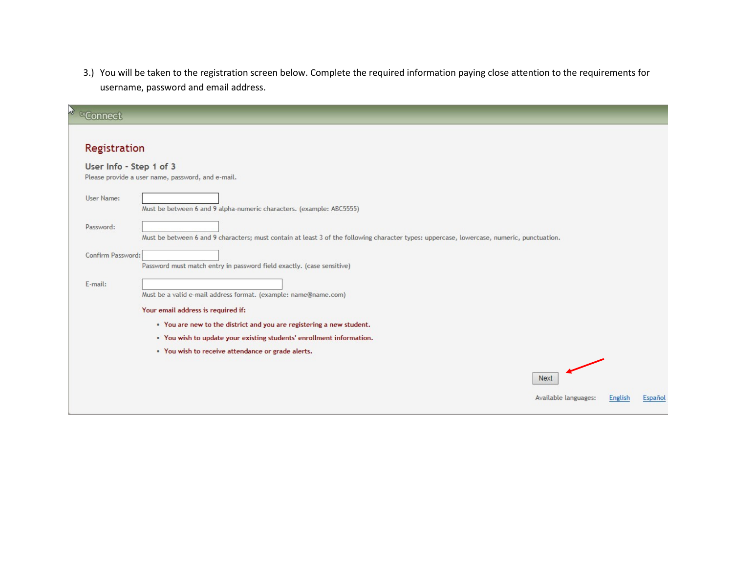3.) You will be taken to the registration screen below. Complete the required information paying close attention to the requirements for username, password and email address.

| <sup>t</sup> ¤Connect   |                                                                                                                                              |                                     |         |         |
|-------------------------|----------------------------------------------------------------------------------------------------------------------------------------------|-------------------------------------|---------|---------|
| Registration            |                                                                                                                                              |                                     |         |         |
| User Info - Step 1 of 3 | Please provide a user name, password, and e-mail.                                                                                            |                                     |         |         |
| User Name:              | Must be between 6 and 9 alpha-numeric characters. (example: ABC5555)                                                                         |                                     |         |         |
| Password:               | Must be between 6 and 9 characters; must contain at least 3 of the following character types: uppercase, lowercase, numeric, punctuation.    |                                     |         |         |
| Confirm Password:       | Password must match entry in password field exactly. (case sensitive)                                                                        |                                     |         |         |
| E-mail:                 | Must be a valid e-mail address format. (example: name@name.com)                                                                              |                                     |         |         |
|                         | Your email address is required if:                                                                                                           |                                     |         |         |
|                         | . You are new to the district and you are registering a new student.<br>. You wish to update your existing students' enrollment information. |                                     |         |         |
|                         | . You wish to receive attendance or grade alerts.                                                                                            |                                     |         |         |
|                         |                                                                                                                                              | <b>Next</b><br>Available languages: | English | Español |
|                         |                                                                                                                                              |                                     |         |         |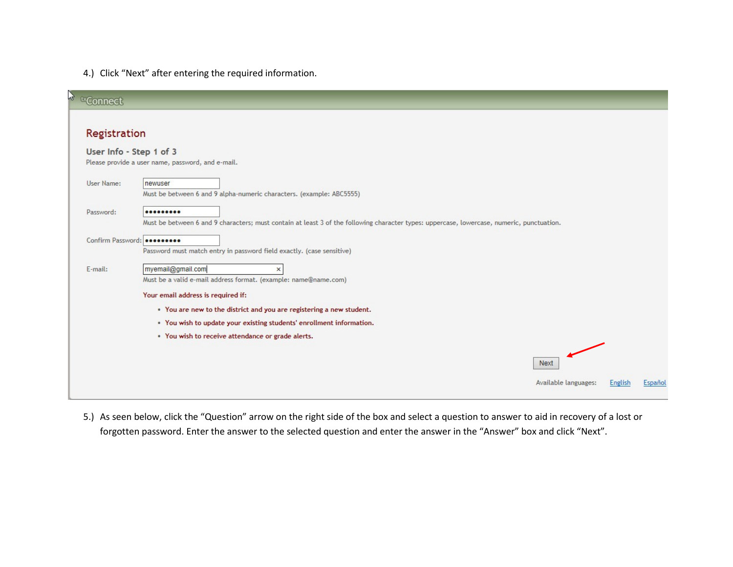4.) Click "Next" after entering the required information.

| ł,<br><b>ExConnect</b>  |                                                   |                                                                                                                                           |         |         |
|-------------------------|---------------------------------------------------|-------------------------------------------------------------------------------------------------------------------------------------------|---------|---------|
| Registration            |                                                   |                                                                                                                                           |         |         |
| User Info - Step 1 of 3 | Please provide a user name, password, and e-mail. |                                                                                                                                           |         |         |
| User Name:              | newuser                                           |                                                                                                                                           |         |         |
|                         |                                                   | Must be between 6 and 9 alpha-numeric characters. (example: ABC5555)                                                                      |         |         |
| Password:               |                                                   |                                                                                                                                           |         |         |
|                         |                                                   | Must be between 6 and 9 characters; must contain at least 3 of the following character types: uppercase, lowercase, numeric, punctuation. |         |         |
|                         | Confirm Password: 000000000                       | Password must match entry in password field exactly. (case sensitive)                                                                     |         |         |
| E-mail:                 | myemail@gmail.com                                 | $\times$                                                                                                                                  |         |         |
|                         | Your email address is required if:                | Must be a valid e-mail address format. (example: name@name.com)                                                                           |         |         |
|                         |                                                   | . You are new to the district and you are registering a new student.                                                                      |         |         |
|                         |                                                   | . You wish to update your existing students' enrollment information.                                                                      |         |         |
|                         | . You wish to receive attendance or grade alerts. |                                                                                                                                           |         |         |
|                         |                                                   | Next                                                                                                                                      |         |         |
|                         |                                                   | Available languages:                                                                                                                      | English | Español |

5.) As seen below, click the "Question" arrow on the right side of the box and select a question to answer to aid in recovery of a lost or forgotten password. Enter the answer to the selected question and enter the answer in the "Answer" box and click "Next".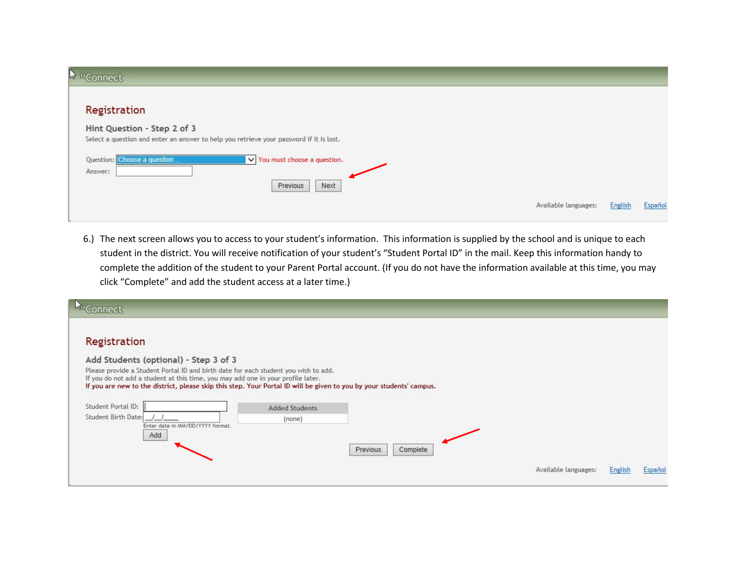| <b>A ExConnect</b>                                                                                                     |                                    |  |                      |                |         |
|------------------------------------------------------------------------------------------------------------------------|------------------------------------|--|----------------------|----------------|---------|
| Registration                                                                                                           |                                    |  |                      |                |         |
| Hint Question - Step 2 of 3<br>Select a question and enter an answer to help you retrieve your password if it is lost. |                                    |  |                      |                |         |
| Question: Choose a question<br>Answer:                                                                                 | $\vee$ You must choose a question. |  |                      |                |         |
|                                                                                                                        | Next<br>Previous                   |  |                      |                |         |
|                                                                                                                        |                                    |  | Available languages: | <b>English</b> | Español |

6.) The next screen allows you to access to your student's information. This information is supplied by the school and is unique to each student in the district. You will receive notification of your student's "Student Portal ID" in the mail. Keep this information handy to complete the addition of the student to your Parent Portal account. (If you do not have the information available at this time, you may click "Complete" and add the student access at a later time.)

| nnect                                                                                                                                                                                                                                                                                                                                    |                       |                      |                      |         |         |
|------------------------------------------------------------------------------------------------------------------------------------------------------------------------------------------------------------------------------------------------------------------------------------------------------------------------------------------|-----------------------|----------------------|----------------------|---------|---------|
| Registration                                                                                                                                                                                                                                                                                                                             |                       |                      |                      |         |         |
| Add Students (optional) - Step 3 of 3<br>Please provide a Student Portal ID and birth date for each student you wish to add.<br>If you do not add a student at this time, you may add one in your profile later.<br>If you are new to the district, please skip this step. Your Portal ID will be given to you by your students' campus. |                       |                      |                      |         |         |
| Student Portal ID:                                                                                                                                                                                                                                                                                                                       | <b>Added Students</b> |                      |                      |         |         |
| <b>Student Birth Date:</b><br>Enter date in MM/DD/YYYY format.                                                                                                                                                                                                                                                                           | (none)                |                      |                      |         |         |
| Add                                                                                                                                                                                                                                                                                                                                      |                       | Previous<br>Complete |                      |         |         |
|                                                                                                                                                                                                                                                                                                                                          |                       |                      | Available languages: | English | Español |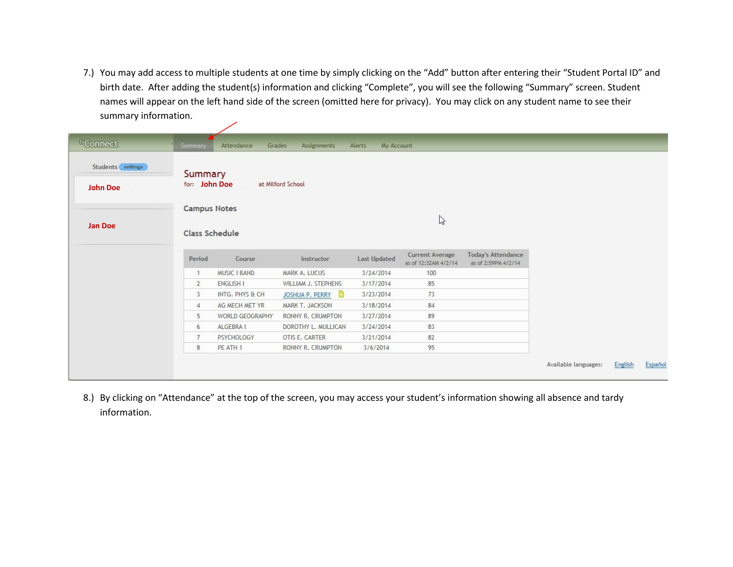7.) You may add access to multiple students at one time by simply clicking on the "Add" button after entering their "Student Portal ID" and birth date. After adding the student(s) information and clicking "Complete", you will see the following "Summary" screen. Student names will appear on the left hand side of the screen (omitted here for privacy). You may click on any student name to see their summary information.

| <sup>tx</sup> Connect                  | Summary                               | Attendance          | Grades<br>Assignments | My Account<br>Alerts |                                                |                                                  |                      |         |         |
|----------------------------------------|---------------------------------------|---------------------|-----------------------|----------------------|------------------------------------------------|--------------------------------------------------|----------------------|---------|---------|
| Students (settings)<br><b>John Doe</b> | Summary<br>for: John Doe              |                     | at Milford School     |                      |                                                |                                                  |                      |         |         |
| Jan Doe                                | <b>Campus Notes</b><br>Class Schedule |                     |                       |                      | $\mathbb{Z}$                                   |                                                  |                      |         |         |
|                                        | Period                                | Course              | Instructor            | <b>Last Updated</b>  | <b>Current Average</b><br>as of 12:32AM 4/2/14 | <b>Today's Attendance</b><br>as of 2:59PM 4/2/14 |                      |         |         |
|                                        | $\mathbf{1}$                          | <b>MUSIC I BAND</b> | MARK A. LUCUS         | 3/24/2014            | 100                                            |                                                  |                      |         |         |
|                                        | $\overline{2}$                        | <b>ENGLISH I</b>    | WILLIAM J. STEPHENS   | 3/17/2014            | 85                                             |                                                  |                      |         |         |
|                                        | 3                                     | INTG. PHYS & CH     | JOSHUA P. PERRY       | 3/23/2014            | 73                                             |                                                  |                      |         |         |
|                                        | 4                                     | AG MECH MET YR      | MARK T. JACKSON       | 3/18/2014            | 84                                             |                                                  |                      |         |         |
|                                        | 5                                     | WORLD GEOGRAPHY     | RONNY R. CRUMPTON     | 3/27/2014            | 89                                             |                                                  |                      |         |         |
|                                        | 6                                     | ALGEBRA I           | DOROTHY L. MULLICAN   | 3/24/2014            | 83                                             |                                                  |                      |         |         |
|                                        | $\overline{7}$                        | PSYCHOLOGY          | OTIS E. CARTER        | 3/21/2014            | 82                                             |                                                  |                      |         |         |
|                                        | 8                                     | PE ATH 1            | RONNY R. CRUMPTON     | 3/6/2014             | 95                                             |                                                  |                      |         |         |
|                                        |                                       |                     |                       |                      |                                                |                                                  | Available languages: | English | Español |

8.) By clicking on "Attendance" at the top of the screen, you may access your student's information showing all absence and tardy information.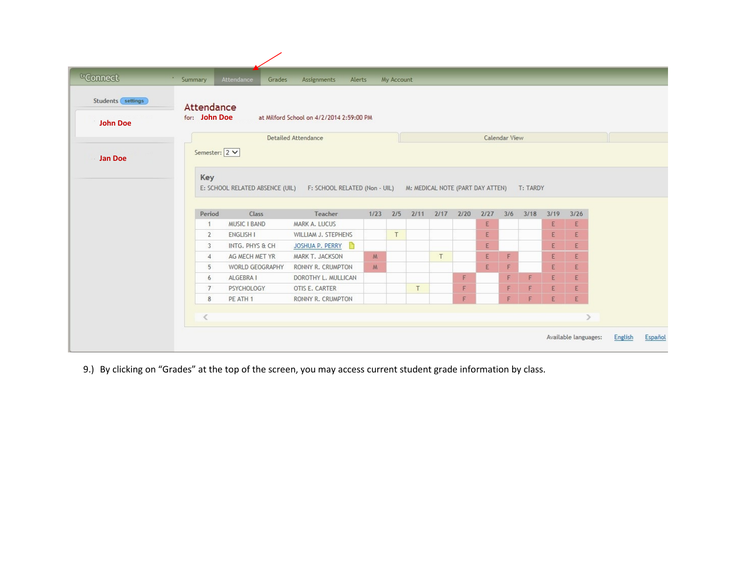| Students settings | Attendance     |                                 |                                                                |              |   |               |                |   |      |     |          |      |             |  |
|-------------------|----------------|---------------------------------|----------------------------------------------------------------|--------------|---|---------------|----------------|---|------|-----|----------|------|-------------|--|
| <b>John Doe</b>   | for: John Doe  |                                 | at Milford School on 4/2/2014 2:59:00 PM                       |              |   |               |                |   |      |     |          |      |             |  |
|                   |                |                                 | <b>Detailed Attendance</b>                                     |              |   | Calendar View |                |   |      |     |          |      |             |  |
| <b>Jan Doe</b>    | Semester: 2 V  |                                 |                                                                |              |   |               |                |   |      |     |          |      |             |  |
|                   |                | E: SCHOOL RELATED ABSENCE (UIL) | F: SCHOOL RELATED (Non - UIL) M: MEDICAL NOTE (PART DAY ATTEN) |              |   |               |                |   |      |     | T: TARDY |      |             |  |
|                   | Period         | Class                           | Teacher                                                        | $1/23$ $2/5$ |   |               | 2/11 2/17 2/20 |   | 2/27 | 3/6 | 3/18     | 3/19 | 3/26        |  |
|                   | 1              | <b>MUSIC I BAND</b>             | MARK A. LUCUS                                                  |              |   |               |                |   | E    |     |          | E    | Ε           |  |
|                   | $\overline{2}$ | ENGLISH I                       | WILLIAM J. STEPHENS                                            |              | T |               |                |   | E    |     |          | E    | E           |  |
|                   | 3              | INTG. PHYS & CH                 | JOSHUA P. PERRY<br>D                                           |              |   |               |                |   | E    |     |          | E.   | E           |  |
|                   | $\overline{4}$ | AG MECH MET YR                  | MARK T. JACKSON                                                | M            |   |               | T              |   | E    | F   |          | E    | $\mathsf E$ |  |
|                   | 5              | WORLD GEOGRAPHY                 | RONNY R. CRUMPTON                                              | M            |   |               |                |   | E    | F   |          | E    | E           |  |
|                   | 6              | ALGEBRA I                       | DOROTHY L. MULLICAN                                            |              |   |               |                | F |      | F   | E        | E    | E           |  |
|                   | $\overline{7}$ | PSYCHOLOGY                      | OTIS E. CARTER                                                 |              |   | T             |                | F |      | F   | F        | E    | E           |  |

9.) By clicking on "Grades" at the top of the screen, you may access current student grade information by class.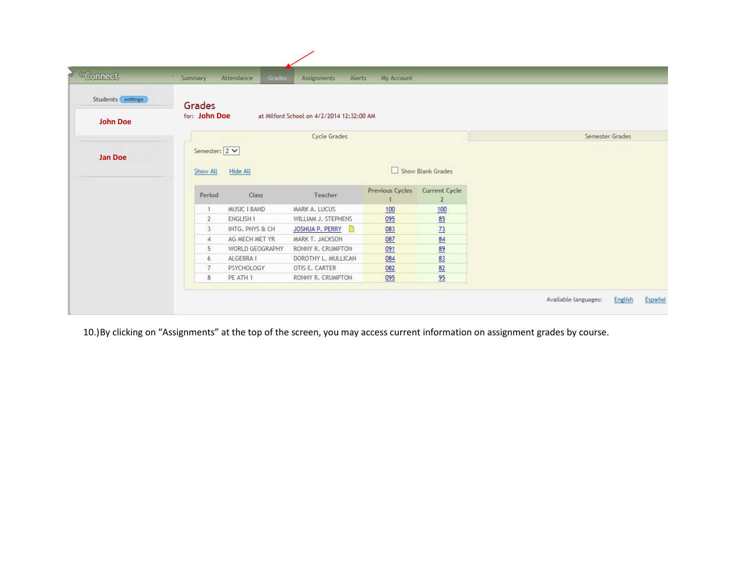| ↓ txConnect         | Summary                   | Grades<br>Attendance   | Assignments<br>Alerts                     | My Account      |                                 |                 |
|---------------------|---------------------------|------------------------|-------------------------------------------|-----------------|---------------------------------|-----------------|
| Students (settings) | Grades                    |                        |                                           |                 |                                 |                 |
| <b>John Doe</b>     | for: John Doe             |                        | at Milford School on 4/2/2014 12:32:00 AM |                 |                                 |                 |
|                     |                           |                        | Cycle Grades                              |                 |                                 | Semester Grades |
| Jan Doe             | Semester: 2 V<br>Show All | Hide All               |                                           |                 | Show Blank Grades               |                 |
|                     | Period                    | Class                  | Teacher                                   | Previous Cycles | Current Cycle<br>$\overline{2}$ |                 |
|                     |                           | <b>MUSIC I BAND</b>    | MARK A. LUCUS                             | 100             | 100                             |                 |
|                     | $\overline{2}$            | <b>ENGLISH I</b>       | WILLIAM J. STEPHENS                       | 095             | 85                              |                 |
|                     | 3                         | INTG, PHYS & CH        | JOSHUA P. PERRY<br>n                      | 083             | 73                              |                 |
|                     | $\overline{4}$            | AG MECH MET YR         | MARK T. JACKSON                           | 087             | 84                              |                 |
|                     | 5                         | <b>WORLD GEOGRAPHY</b> | RONNY R. CRUMPTON                         | 091             | 89                              |                 |
|                     | 6                         | ALGEBRA I              | DOROTHY L. MULLICAN                       | 084             | 83                              |                 |
|                     | $\overline{7}$            | PSYCHOLOGY             | OTIS E. CARTER                            | 082             | 82                              |                 |
|                     |                           | PE ATH 1               | RONNY R. CRUMPTON                         | 095             | 95                              |                 |

10.)By clicking on "Assignments" at the top of the screen, you may access current information on assignment grades by course.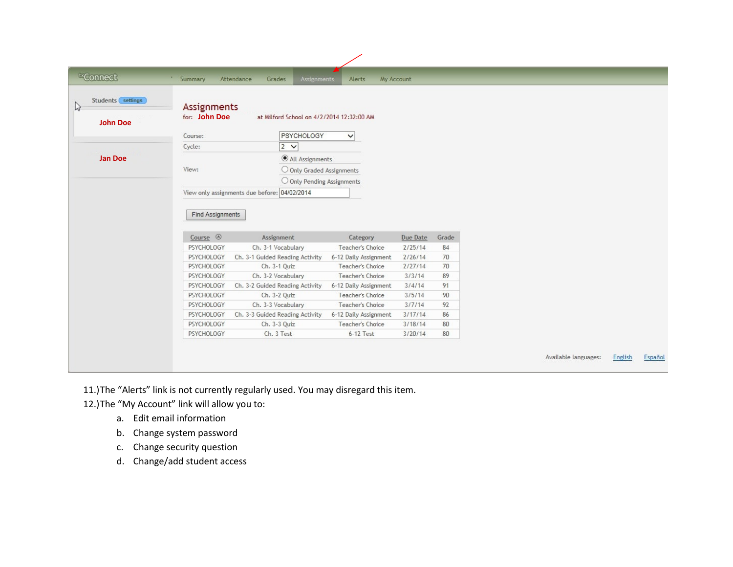| Students settings<br>Assignments<br>for: John Doe<br>at Milford School on 4/2/2014 12:32:00 AM<br><b>John Doe</b><br>PSYCHOLOGY<br>Course:<br>$\checkmark$<br>$2 \vee$<br>Cycle:<br><b>Jan Doe</b><br>All Assignments<br>View:<br>O Only Graded Assignments<br>$\bigcirc$ Only Pending Assignments<br>View only assignments due before: 04/02/2014<br><b>Find Assignments</b><br>Course $\circledcirc$<br>Assignment<br>Grade<br>Category<br>Due Date<br>Ch. 3-1 Vocabulary<br>Teacher's Choice<br>84<br>PSYCHOLOGY<br>2/25/14<br>70<br>PSYCHOLOGY<br>Ch. 3-1 Guided Reading Activity<br>6-12 Daily Assignment<br>2/26/14<br>PSYCHOLOGY<br>Ch. 3-1 Quiz<br>Teacher's Choice<br>2/27/14<br>70<br>PSYCHOLOGY<br>3/3/14<br>89<br>Ch. 3-2 Vocabulary<br>Teacher's Choice<br>Ch. 3-2 Guided Reading Activity<br>91<br>PSYCHOLOGY<br>6-12 Daily Assignment<br>3/4/14<br>90<br>PSYCHOLOGY<br>Ch. 3-2 Quiz<br>Teacher's Choice<br>3/5/14<br>Teacher's Choice<br>3/7/14<br>92<br>PSYCHOLOGY<br>Ch. 3-3 Vocabulary<br>PSYCHOLOGY<br>Ch. 3-3 Guided Reading Activity<br>6-12 Daily Assignment<br>3/17/14<br>86<br>80<br>PSYCHOLOGY<br>Ch. 3-3 Quiz<br>Teacher's Choice<br>3/18/14<br>80<br>PSYCHOLOGY<br>Ch. 3 Test<br>$6-12$ Test<br>3/20/14 | <sup>tx</sup> Connect | Summary | <b>Assignments</b><br>Attendance<br>Grades | Alerts | My Account |  |  |  |
|------------------------------------------------------------------------------------------------------------------------------------------------------------------------------------------------------------------------------------------------------------------------------------------------------------------------------------------------------------------------------------------------------------------------------------------------------------------------------------------------------------------------------------------------------------------------------------------------------------------------------------------------------------------------------------------------------------------------------------------------------------------------------------------------------------------------------------------------------------------------------------------------------------------------------------------------------------------------------------------------------------------------------------------------------------------------------------------------------------------------------------------------------------------------------------------------------------------------------------|-----------------------|---------|--------------------------------------------|--------|------------|--|--|--|
|                                                                                                                                                                                                                                                                                                                                                                                                                                                                                                                                                                                                                                                                                                                                                                                                                                                                                                                                                                                                                                                                                                                                                                                                                                    |                       |         |                                            |        |            |  |  |  |
|                                                                                                                                                                                                                                                                                                                                                                                                                                                                                                                                                                                                                                                                                                                                                                                                                                                                                                                                                                                                                                                                                                                                                                                                                                    |                       |         |                                            |        |            |  |  |  |
|                                                                                                                                                                                                                                                                                                                                                                                                                                                                                                                                                                                                                                                                                                                                                                                                                                                                                                                                                                                                                                                                                                                                                                                                                                    |                       |         |                                            |        |            |  |  |  |
|                                                                                                                                                                                                                                                                                                                                                                                                                                                                                                                                                                                                                                                                                                                                                                                                                                                                                                                                                                                                                                                                                                                                                                                                                                    |                       |         |                                            |        |            |  |  |  |
|                                                                                                                                                                                                                                                                                                                                                                                                                                                                                                                                                                                                                                                                                                                                                                                                                                                                                                                                                                                                                                                                                                                                                                                                                                    |                       |         |                                            |        |            |  |  |  |
|                                                                                                                                                                                                                                                                                                                                                                                                                                                                                                                                                                                                                                                                                                                                                                                                                                                                                                                                                                                                                                                                                                                                                                                                                                    |                       |         |                                            |        |            |  |  |  |
|                                                                                                                                                                                                                                                                                                                                                                                                                                                                                                                                                                                                                                                                                                                                                                                                                                                                                                                                                                                                                                                                                                                                                                                                                                    |                       |         |                                            |        |            |  |  |  |
|                                                                                                                                                                                                                                                                                                                                                                                                                                                                                                                                                                                                                                                                                                                                                                                                                                                                                                                                                                                                                                                                                                                                                                                                                                    |                       |         |                                            |        |            |  |  |  |
|                                                                                                                                                                                                                                                                                                                                                                                                                                                                                                                                                                                                                                                                                                                                                                                                                                                                                                                                                                                                                                                                                                                                                                                                                                    |                       |         |                                            |        |            |  |  |  |
|                                                                                                                                                                                                                                                                                                                                                                                                                                                                                                                                                                                                                                                                                                                                                                                                                                                                                                                                                                                                                                                                                                                                                                                                                                    |                       |         |                                            |        |            |  |  |  |
|                                                                                                                                                                                                                                                                                                                                                                                                                                                                                                                                                                                                                                                                                                                                                                                                                                                                                                                                                                                                                                                                                                                                                                                                                                    |                       |         |                                            |        |            |  |  |  |
|                                                                                                                                                                                                                                                                                                                                                                                                                                                                                                                                                                                                                                                                                                                                                                                                                                                                                                                                                                                                                                                                                                                                                                                                                                    |                       |         |                                            |        |            |  |  |  |
|                                                                                                                                                                                                                                                                                                                                                                                                                                                                                                                                                                                                                                                                                                                                                                                                                                                                                                                                                                                                                                                                                                                                                                                                                                    |                       |         |                                            |        |            |  |  |  |
|                                                                                                                                                                                                                                                                                                                                                                                                                                                                                                                                                                                                                                                                                                                                                                                                                                                                                                                                                                                                                                                                                                                                                                                                                                    |                       |         |                                            |        |            |  |  |  |
|                                                                                                                                                                                                                                                                                                                                                                                                                                                                                                                                                                                                                                                                                                                                                                                                                                                                                                                                                                                                                                                                                                                                                                                                                                    |                       |         |                                            |        |            |  |  |  |
|                                                                                                                                                                                                                                                                                                                                                                                                                                                                                                                                                                                                                                                                                                                                                                                                                                                                                                                                                                                                                                                                                                                                                                                                                                    |                       |         |                                            |        |            |  |  |  |
|                                                                                                                                                                                                                                                                                                                                                                                                                                                                                                                                                                                                                                                                                                                                                                                                                                                                                                                                                                                                                                                                                                                                                                                                                                    |                       |         |                                            |        |            |  |  |  |
|                                                                                                                                                                                                                                                                                                                                                                                                                                                                                                                                                                                                                                                                                                                                                                                                                                                                                                                                                                                                                                                                                                                                                                                                                                    |                       |         |                                            |        |            |  |  |  |
|                                                                                                                                                                                                                                                                                                                                                                                                                                                                                                                                                                                                                                                                                                                                                                                                                                                                                                                                                                                                                                                                                                                                                                                                                                    |                       |         |                                            |        |            |  |  |  |
|                                                                                                                                                                                                                                                                                                                                                                                                                                                                                                                                                                                                                                                                                                                                                                                                                                                                                                                                                                                                                                                                                                                                                                                                                                    |                       |         |                                            |        |            |  |  |  |
|                                                                                                                                                                                                                                                                                                                                                                                                                                                                                                                                                                                                                                                                                                                                                                                                                                                                                                                                                                                                                                                                                                                                                                                                                                    |                       |         |                                            |        |            |  |  |  |

11.)The "Alerts" link is not currently regularly used. You may disregard this item.

12.)The "My Account" link will allow you to:

- a. Edit email information
- b. Change system password
- c. Change security question
- d. Change/add student access